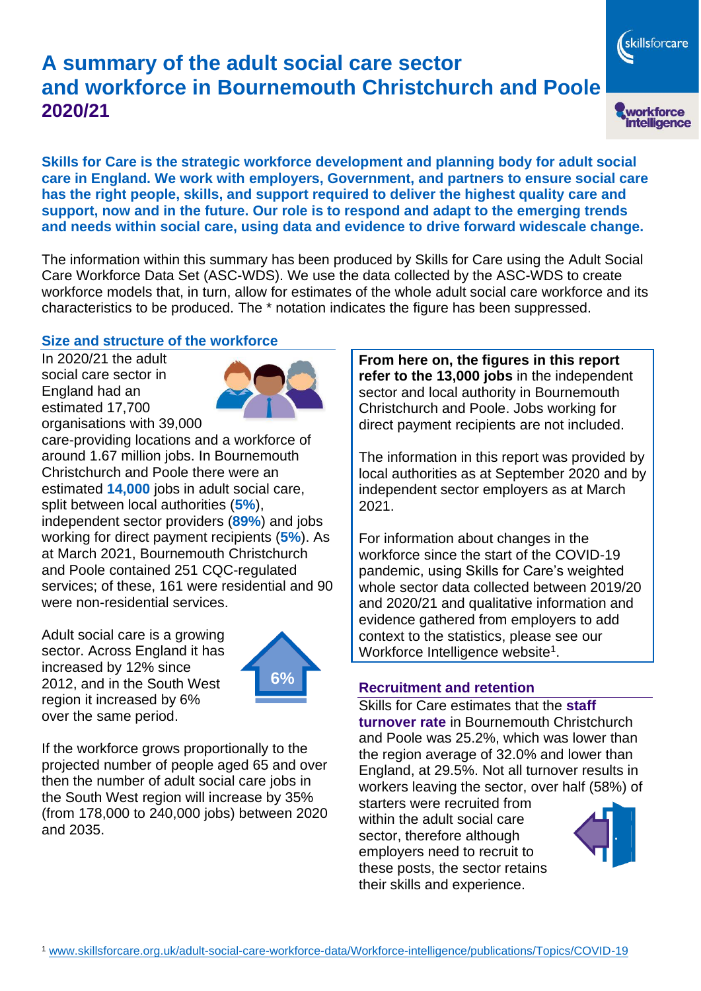# **A summary of the adult social care sector and workforce in Bournemouth Christchurch and Poole 2020/21**

**Skills for Care is the strategic workforce development and planning body for adult social care in England. We work with employers, Government, and partners to ensure social care has the right people, skills, and support required to deliver the highest quality care and support, now and in the future. Our role is to respond and adapt to the emerging trends and needs within social care, using data and evidence to drive forward widescale change.**

The information within this summary has been produced by Skills for Care using the Adult Social Care Workforce Data Set (ASC-WDS). We use the data collected by the ASC-WDS to create workforce models that, in turn, allow for estimates of the whole adult social care workforce and its characteristics to be produced. The \* notation indicates the figure has been suppressed.

## **Size and structure of the workforce**

In 2020/21 the adult social care sector in England had an estimated 17,700 organisations with 39,000



care-providing locations and a workforce of around 1.67 million jobs. In Bournemouth Christchurch and Poole there were an estimated **14,000** jobs in adult social care, split between local authorities (**5%**), independent sector providers (**89%**) and jobs working for direct payment recipients (**5%**). As at March 2021, Bournemouth Christchurch and Poole contained 251 CQC-regulated services; of these, 161 were residential and 90 were non-residential services.

Adult social care is a growing sector. Across England it has increased by 12% since 2012, and in the South West region it increased by 6% over the same period.



If the workforce grows proportionally to the projected number of people aged 65 and over then the number of adult social care jobs in the South West region will increase by 35% (from 178,000 to 240,000 jobs) between 2020 and 2035.

**From here on, the figures in this report refer to the 13,000 jobs** in the independent sector and local authority in Bournemouth Christchurch and Poole. Jobs working for direct payment recipients are not included.

The information in this report was provided by local authorities as at September 2020 and by independent sector employers as at March 2021.

For information about changes in the workforce since the start of the COVID-19 pandemic, using Skills for Care's weighted whole sector data collected between 2019/20 and 2020/21 and qualitative information and evidence gathered from employers to add context to the statistics, please see our Workforce Intelligence website<sup>1</sup>.

## **Recruitment and retention**

Skills for Care estimates that the **staff turnover rate** in Bournemouth Christchurch and Poole was 25.2%, which was lower than the region average of 32.0% and lower than England, at 29.5%. Not all turnover results in workers leaving the sector, over half (58%) of

starters were recruited from within the adult social care sector, therefore although employers need to recruit to these posts, the sector retains their skills and experience.



skillsforcare

workforce<br>intelligence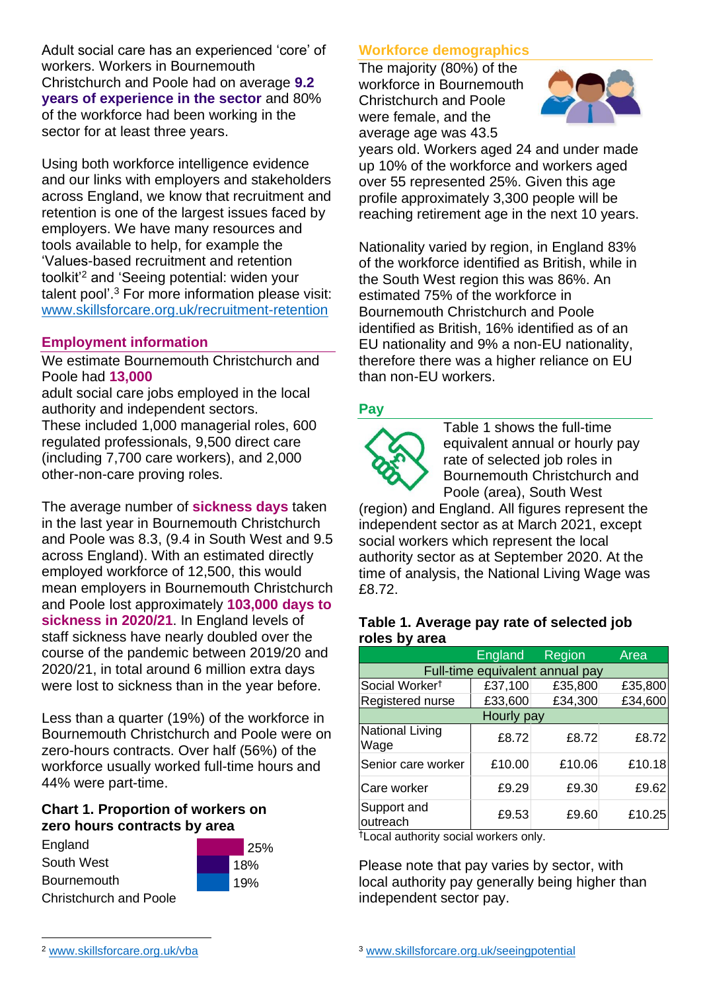Adult social care has an experienced 'core' of workers. Workers in Bournemouth Christchurch and Poole had on average **9.2 years of experience in the sector** and 80% of the workforce had been working in the sector for at least three years.

Using both workforce intelligence evidence and our links with employers and stakeholders across England, we know that recruitment and retention is one of the largest issues faced by employers. We have many resources and tools available to help, for example the 'Values-based recruitment and retention toolkit'<sup>2</sup> and 'Seeing potential: widen your talent pool'. <sup>3</sup> For more information please visit: [www.skillsforcare.org.uk/recruitment-retention](http://www.skillsforcare.org.uk/recruitment-retention)

## **Employment information**

We estimate Bournemouth Christchurch and Poole had **13,000**

adult social care jobs employed in the local authority and independent sectors. These included 1,000 managerial roles, 600 regulated professionals, 9,500 direct care (including 7,700 care workers), and 2,000 other-non-care proving roles.

The average number of **sickness days** taken in the last year in Bournemouth Christchurch and Poole was 8.3, (9.4 in South West and 9.5 across England). With an estimated directly employed workforce of 12,500, this would mean employers in Bournemouth Christchurch and Poole lost approximately **103,000 days to sickness in 2020/21**. In England levels of staff sickness have nearly doubled over the course of the pandemic between 2019/20 and 2020/21, in total around 6 million extra days were lost to sickness than in the year before.

Less than a quarter (19%) of the workforce in Bournemouth Christchurch and Poole were on zero-hours contracts. Over half (56%) of the workforce usually worked full-time hours and 44% were part-time.

> 25% 18% 19%

## **Chart 1. Proportion of workers on zero hours contracts by area**



# **Workforce demographics**

The majority (80%) of the workforce in Bournemouth Christchurch and Poole were female, and the average age was 43.5



years old. Workers aged 24 and under made up 10% of the workforce and workers aged over 55 represented 25%. Given this age profile approximately 3,300 people will be reaching retirement age in the next 10 years.

Nationality varied by region, in England 83% of the workforce identified as British, while in the South West region this was 86%. An estimated 75% of the workforce in Bournemouth Christchurch and Poole identified as British, 16% identified as of an EU nationality and 9% a non-EU nationality, therefore there was a higher reliance on EU than non-EU workers.

## **Pay**



Table 1 shows the full-time equivalent annual or hourly pay rate of selected job roles in Bournemouth Christchurch and Poole (area), South West

(region) and England. All figures represent the independent sector as at March 2021, except social workers which represent the local authority sector as at September 2020. At the time of analysis, the National Living Wage was £8.72.

#### **Table 1. Average pay rate of selected job roles by area**

|                                 | <b>England</b> | Region  | Area    |
|---------------------------------|----------------|---------|---------|
| Full-time equivalent annual pay |                |         |         |
| Social Worker <sup>t</sup>      | £37,100        | £35,800 | £35,800 |
| Registered nurse                | £33,600        | £34,300 | £34,600 |
| Hourly pay                      |                |         |         |
| National Living<br>Wage         | £8.72          | £8.72   | £8.72   |
| Senior care worker              | £10.00         | £10.06  | £10.18  |
| Care worker                     | £9.29          | £9.30   | £9.62   |
| Support and<br>outreach         | £9.53          | £9.60   | £10.25  |

†Local authority social workers only.

Please note that pay varies by sector, with local authority pay generally being higher than independent sector pay.

<sup>2</sup> [www.skillsforcare.org.uk/vba](http://www.skillsforcare.org.uk/vba)